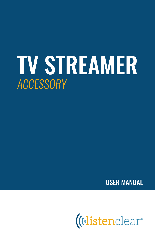# TV STREAMER *ACCESSORY*

USER MANUAL

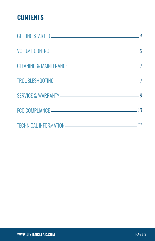## **CONTENTS**

| VOLUME CONTROL 6                                               |  |
|----------------------------------------------------------------|--|
|                                                                |  |
|                                                                |  |
| SERVICE & WARRANTY-77 AMERICAN CONTROL AND SERVICE & WARRANTY- |  |
|                                                                |  |
|                                                                |  |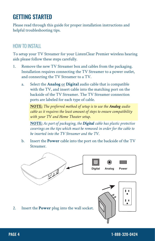## GETTING STARTED

Please read through this guide for proper installation instructions and helpful troubleshooting tips.

#### *HOW TO INSTALL*

To setup your TV Streamer for your ListenClear Premier wireless hearing aids please follow these steps carefully.

- 1. Remove the new TV Streamer box and cables from the packaging. Installation requires connecting the TV Streamer to a power outlet, and connecting the TV Streamer to a TV.
	- a. Select the **Analog** or **Digital** audio cable that is compatible with the TV, and insert cable into the matching port on the backside of the TV Streamer. The TV Streamer connection ports are labeled for each type of cable.

**NOTE:** *The preferred method of setup is to use the Analog audio cable as it requires the least amount of steps to ensure compatibility with your TV and Home Theater setup.*

**NOTE:** *As part of packaging, the Digital cable has plastic protective coverings on the tips which must be removed in order for the cable to be inserted into the TV Streamer and the TV.*

b. Insert the **Power** cable into the port on the backside of the TV Streamer.

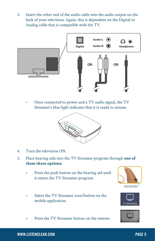3. Insert the other end of the audio cable into the audio output on the back of your television. Again, this is dependent on the Digital or Analog cable that is compatible with the TV.



• Once connected to power and a TV audio signal, the TV Streamer's blue light indicates that it is ready to stream.



- 4. Turn the television ON.
- 5. Place hearing aids into the TV Streamer program through **one of these three options:**
	- Press the push button on the hearing aid until it enters the TV Streamer program.
	- Select the TV Streamer icon/button on the mobile application.
	- Press the TV Streamer button on the remote.





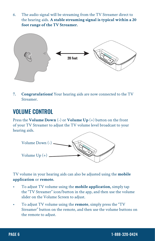6. The audio signal will be streaming from the TV Streamer direct to the hearing aids. **A stable streaming signal is typical within a 20 foot range of the TV Streamer.**



**7. Congratulations!** Your hearing aids are now connected to the TV Streamer.

## VOLUME CONTROL

Press the **Volume Down** (-) or **Volume Up** (+) button on the front of your TV Streamer to adjust the TV volume level broadcast to your hearing aids.



TV volume in your hearing aids can also be adjusted using the **mobile application** or **remote.**

- To adjust TV volume using the **mobile application,** simply tap the "TV Streamer" icon/button in the app, and then use the volume slider on the Volume Screen to adjust.
- To adjust TV volume using the **remote**, simply press the "TV Streamer" button on the remote, and then use the volume buttons on the remote to adjust.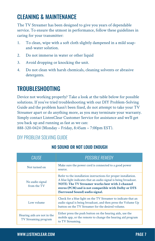## CLEANING & MAINTENANCE

The TV Streamer has been designed to give you years of dependable service. To ensure the utmost in performance, follow these guidelines in caring for your transmitter:

- 1. To clean, wipe with a soft cloth slightly dampened in a mild soapand-water solution.
- 2. Do not immerse in water or other liquid
- 3. Avoid dropping or knocking the unit.
- 4. Do not clean with harsh chemicals, cleaning solvents or abrasive detergents.

## TROUBLESHOOTING

Device not working properly? Take a look at the table below for possible solutions. If you've tried troubleshooting with our DIY Problem-Solving Guide and the problem hasn't been fixed, do not attempt to take your TV Streamer apart or do anything more, as you may terminate your warranty. Simply contact ListenClear Customer Service for assistance and we'll get you back up and running as fast as we can:

888-320-0424 (Monday – Friday, 8:45am – 7:00pm EST).

## *DIY PROBLEM SOLVING GUIDE*

| <b>CAUSE</b>                                        | POSSIBLE REMEDY                                                                                                                                                                                                                                                                 |
|-----------------------------------------------------|---------------------------------------------------------------------------------------------------------------------------------------------------------------------------------------------------------------------------------------------------------------------------------|
| Not turned on                                       | Make sure the power cord is connected to a good power<br>source.                                                                                                                                                                                                                |
| No audio signal<br>from the TV                      | Refer to the installation instructions for proper installation.<br>A blue light indicates that an audio signal is being broadcast.<br>NOTE: The TV Streamer works best with 2-channel<br>stereo (PCM) and is not compatible with Dolby or DTS<br>(Surround Sound) audio signal. |
| Low volume                                          | Check for a blue light on the TV Streamer to indicate that an<br>audio signal is being broadcast, and then press the Volume Up<br>button on the TV Streamer for the desired volume.                                                                                             |
| Hearing aids are not in the<br>TV Streaming program | Either press the push button on the hearing aids, use the<br>mobile app, or the remote to change the hearing aid program<br>to TV Streaming.                                                                                                                                    |

#### NO SOUND OR NOT LOUD ENOUGH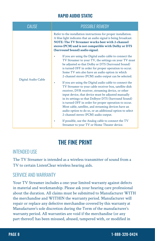#### RAPID AUDIO STATIC

| <b>CAUSE</b>        | <b>POSSIBLE REMEDY</b>                                                                                                                                                                                                                                                                                                                                                                                                                                                                                      |
|---------------------|-------------------------------------------------------------------------------------------------------------------------------------------------------------------------------------------------------------------------------------------------------------------------------------------------------------------------------------------------------------------------------------------------------------------------------------------------------------------------------------------------------------|
| Digital Audio Cable | Refer to the installation instructions for proper installation.<br>A blue light indicates that an audio signal is being broadcast.<br>NOTE: The TV Streamer works best with 2-channel<br>stereo (PCM) and is not compatible with Dolby or DTS<br>(Surround Sound) audio signal.                                                                                                                                                                                                                             |
|                     | If you are using the Digital audio cable to connect the<br>TV Streamer to your TV, the settings on your TV must<br>be adjusted so that Dolby or DTS (Surround Sound)<br>is turned OFF in order for proper operation to occur.<br>Some TV sets also have an audio option in which<br>2-channel stereo (PCM) audio output can be selected.                                                                                                                                                                    |
|                     | If you are using the Digital audio cable to connect the<br>TV Streamer to your cable receiver box, satellite dish<br>receiver, DVR receiver, streaming device, or other<br>input device, that device must be adjusted manually<br>in its settings so that Dolbyor DTS (Surround Sound)<br>is turned OFF in order for proper operation to occur.<br>Most cable, satellite, and streaming devices have an<br>audio option to do so, or an additional option to select<br>2-channel stereo (PCM) audio output. |
|                     | If possible, use the Analog cable to connect the TV<br>Streamer to your TV or Home Theater device.                                                                                                                                                                                                                                                                                                                                                                                                          |

## THE FINE PRINT

#### *INTENDED USE*

The TV Streamer is intended as a wireless transmitter of sound from a TV to certain ListenClear wireless hearing aids.

#### *SERVICE AND WARRANTY*

Your TV Streamer includes a one-year limited warranty against defects in material and workmanship. Please ask your hearing care professional about the duration. All claims must be submitted to Manufacturer WITH the merchandise and WITHIN the warranty period. Manufacturer will repair or replace any defective merchandise covered by this warranty at Manufacturer's sole discretion during the Term of the manufacturer's warranty period. All warranties are void if the merchandise (or any part thereof) has been misused, abused, tampered with, or modified in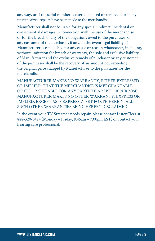any way, or if the serial number is altered, effaced or removed, or if any unauthorized repairs have been made to the merchandise.

Manufacturer shall not be liable for any special, indirect, incidental or consequential damages in connection with the use of the merchandise or for the breach of any of the obligations owed to the purchaser, or any customer of the purchaser, if any. In the event legal liability of Manufacturer is established for any cause or reason whatsoever, including, without limitation for breach of warranty, the sole and exclusive liability of Manufacturer and the exclusive remedy of purchaser or any customer of the purchaser shall be the recovery of an amount not exceeding the original price charged by Manufacturer to the purchaser for the merchandise.

MANUFACTURER MAKES NO WARRANTY, EITHER EXPRESSED OR IMPLIED, THAT THE MERCHANDISE IS MERCHANTABLE OR FIT OR SUITABLE FOR ANY PARTICULAR USE OR PURPOSE. MANUFACTURER MAKES NO OTHER WARRANTY, EXPRESS OR IMPLIED, EXCEPT AS IS EXPRESSLY SET FORTH HEREIN, ALL SUCH OTHER WARRANTIES BEING HEREBY DISCLAIMED.

In the event your TV Streamer needs repair, please contact ListenClear at 888-320-0424 (Monday – Friday, 8:45am – 7:00pm EST) or contact your hearing care professional.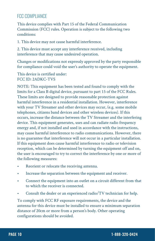## *FCC COMPLIANCE*

This device complies with Part 15 of the Federal Communication Commission (FCC) rules. Operation is subject to the following two conditions:

1. This device may not cause harmful interference.

2. This device must accept any interference received, including interference that may cause undesired operation.

Changes or modifications not expressly approved by the party responsible for compliance could void the user's authority to operate the equipment.

This device is certified under: FCC ID: 2ADKC-TVS

NOTE: This equipment has been tested and found to comply with the limits for a Class B digital device, pursuant to part 15 of the FCC Rules. These limits are designed to provide reasonable protection against harmful interference in a residential installation. However, interference with your TV Streamer and other devices may occur, (e.g. some mobile telephones, citizens band devices and other wireless devices). If this occurs, increase the distance between the TV Streamer and the interfering device. This equipment generates, uses and can radiate radio frequency energy and, if not installed and used in accordance with the instructions, may cause harmful interference to radio communications. However, there is no guarantee that interference will not occur in a particular installation. If this equipment does cause harmful interference to radio or television reception, which can be determined by turning the equipment off and on, the user is encouraged to try to correct the interference by one or more of the following measures:

- Reorient or relocate the receiving antenna.
- Increase the separation between the equipment and receiver.
- Connect the equipment into an outlet on a circuit different from that to which the receiver is connected.
- Consult the dealer or an experienced radio/TV technician for help.

To comply with FCC RF exposure requirements, the device and the antenna for this device must be installed to ensure a minimum separation distance of 20cm or more from a person's body. Other operating configurations should be avoided.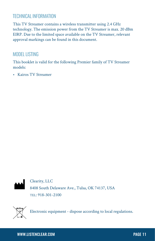## *TECHNICAL INFORMATION*

This TV Streamer contains a wireless transmitter using 2.4 GHz technology. The emission power from the TV Streamer is max. 20 dBm EIRP. Due to the limited space available on the TV Streamer, relevant approval markings can be found in this document.

#### *MODEL LISTING*

This booklet is valid for the following Premier family of TV Streamer models:

• Kairos TV Streamer



Clearity, LLC 8408 South Delaware Ave., Tulsa, OK 74137, USA TEL: 918-301-2100



Electronic equipment - dispose according to local regulations.

#### WWW.LISTENCLEAR.COM PAGE 11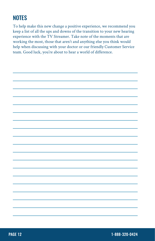## **NOTES**

To help make this new change a positive experience, we recommend you keep a list of all the ups and downs of the transition to your new hearing experience with the TV Streamer. Take note of the moments that are working the most, those that aren't and anything else you think would help when discussing with your doctor or our friendly Customer Service team. Good luck, you're about to hear a world of difference.